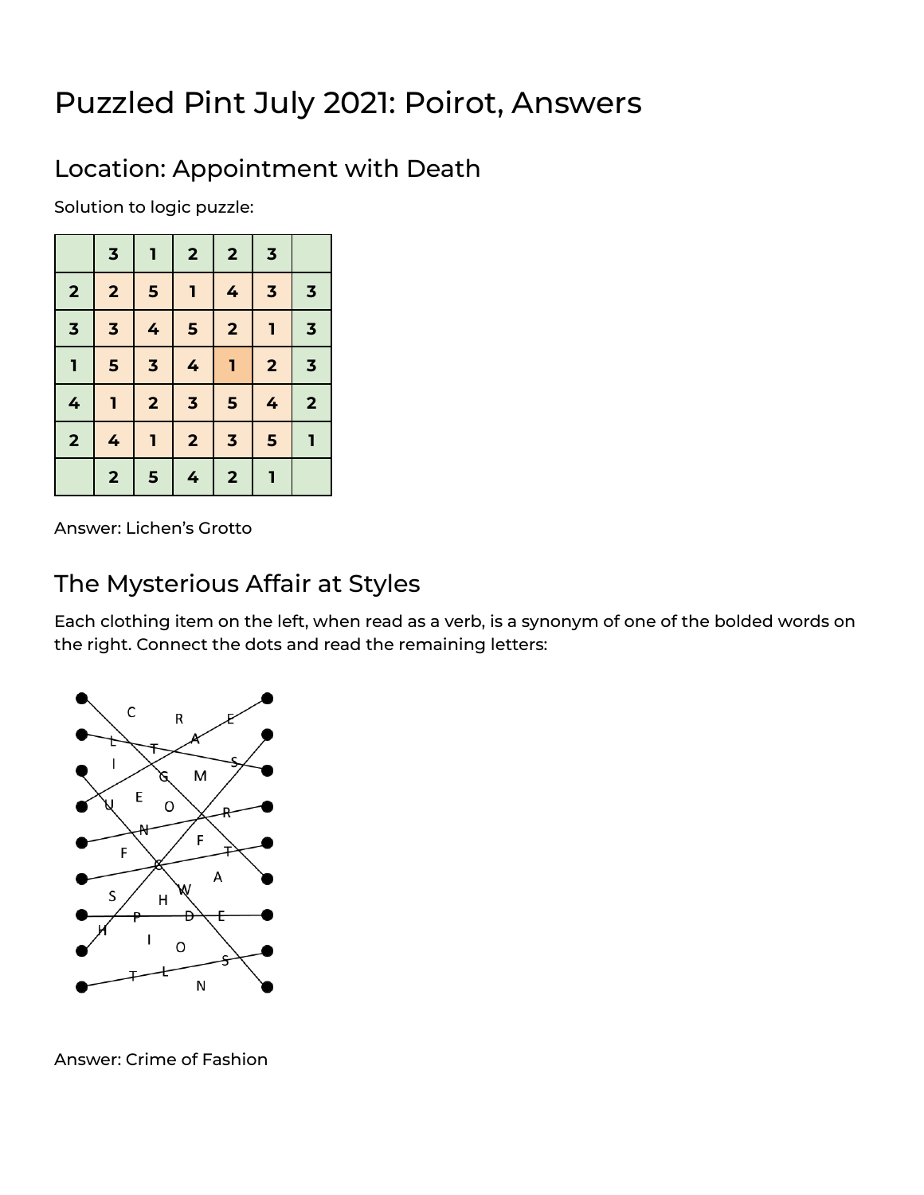# Puzzled Pint July 2021: Poirot, Answers

### Location: Appointment with Death

Solution to logic puzzle:

|                         | $\overline{\mathbf{3}}$ | 1                       | $\overline{\mathbf{2}}$ | $\overline{\mathbf{2}}$ | $\overline{\mathbf{3}}$ |                         |
|-------------------------|-------------------------|-------------------------|-------------------------|-------------------------|-------------------------|-------------------------|
| $\overline{\mathbf{2}}$ | $\overline{2}$          | 5                       | 1                       | 4                       | $\overline{\mathbf{3}}$ | $\overline{\mathbf{3}}$ |
| $\overline{\mathbf{3}}$ | $\overline{\mathbf{3}}$ | 4                       | 5                       | $\overline{\mathbf{2}}$ | $\mathbf{I}$            | $\overline{\mathbf{3}}$ |
| $\mathbf{I}$            | 5                       | $\overline{\mathbf{3}}$ | 4                       | ı                       | $\overline{\mathbf{2}}$ | $\overline{\mathbf{3}}$ |
| 4                       | ī                       | $\overline{\mathbf{2}}$ | $\overline{\mathbf{3}}$ | 5                       | 4                       | $\overline{\mathbf{2}}$ |
| $\overline{\mathbf{2}}$ | 4                       | 1                       | $\overline{\mathbf{2}}$ | $\overline{\mathbf{3}}$ | 5                       | ī                       |
|                         | $\overline{\mathbf{2}}$ | 5                       | 4                       | $\overline{\mathbf{2}}$ | 1                       |                         |

Answer: Lichen's Grotto

#### The Mysterious Affair at Styles

Each clothing item on the left, when read as a verb, is a synonym of one of the bolded words on the right. Connect the dots and read the remaining letters:



Answer: Crime of Fashion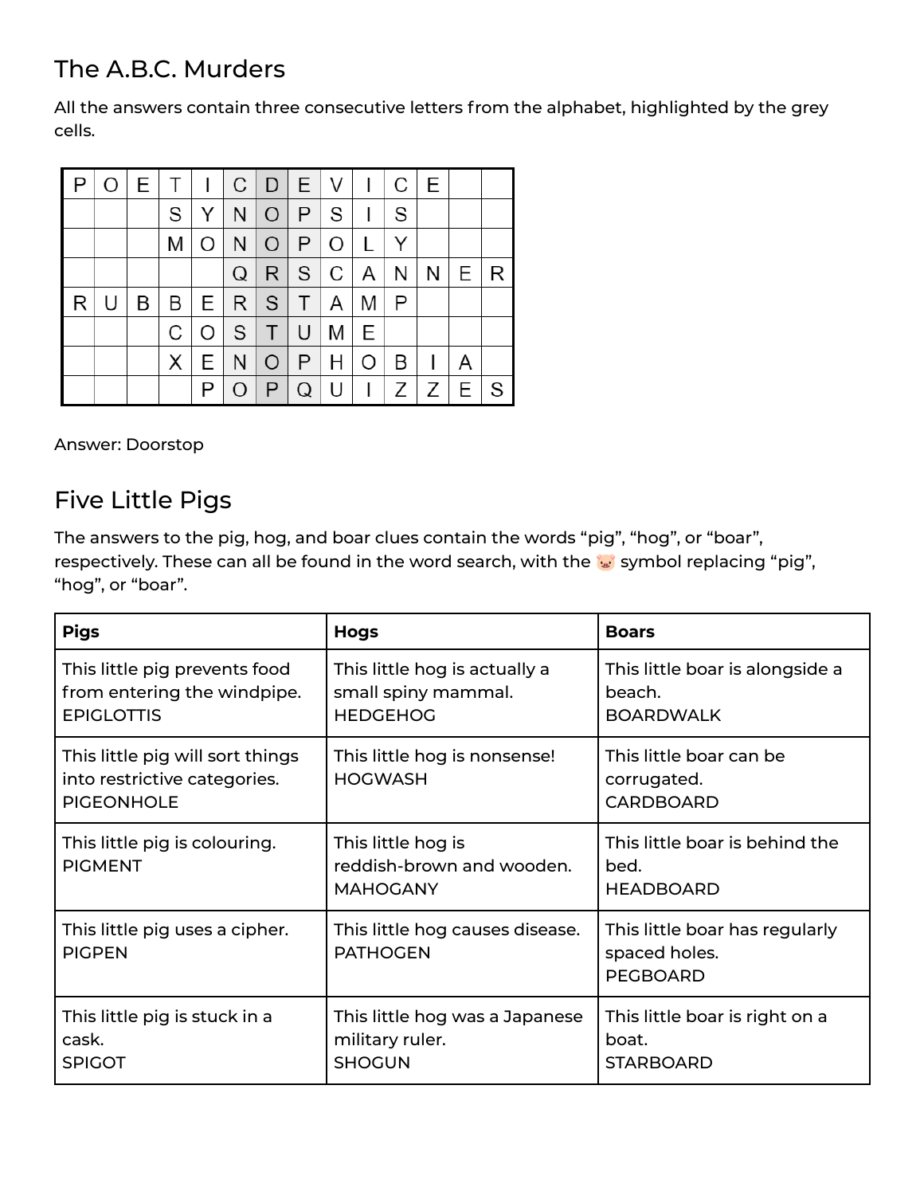# The A.B.C. Murders

All the answers contain three consecutive letters from the alphabet, highlighted by the grey cells.

| P | O |   |          |         |   |   |                 |       | E T I C D E V I C E |              |                |                   |   |
|---|---|---|----------|---------|---|---|-----------------|-------|---------------------|--------------|----------------|-------------------|---|
|   |   |   | S        | Y       |   |   | $N$ $O$ $P$ $S$ |       | $\perp$             | S            |                |                   |   |
|   |   |   | Μ        | $\circ$ |   |   | N[0 P]          |       | $\mathsf{L}$        | Y            |                |                   |   |
|   |   |   |          |         | Q |   | R S C           |       | A                   | N            |                | $N \mid E \mid R$ |   |
| R | U | B |          |         |   |   | B E R S T A     |       | M                   | $\mathsf{P}$ |                |                   |   |
|   |   |   | С        |         |   |   | O S T U M E     |       |                     |              |                |                   |   |
|   |   |   | $\times$ | E       |   |   | $N$ $O$ $P$ $H$ |       | O                   | B            | $\overline{1}$ | A                 |   |
|   |   |   |          | Ρ       | O | P |                 | $Q$ U | $\mathbf{L}$        |              | Z Z E          |                   | S |

Answer: Doorstop

### Five Little Pigs

The answers to the pig, hog, and boar clues contain the words "pig", "hog", or "boar", respectively. These can all be found in the word search, with the we symbol replacing "pig", "hog", or "boar".

| <b>Pigs</b>                                                                           | <b>Hogs</b>                                                             | <b>Boars</b>                                                       |
|---------------------------------------------------------------------------------------|-------------------------------------------------------------------------|--------------------------------------------------------------------|
| This little pig prevents food<br>from entering the windpipe.<br><b>EPIGLOTTIS</b>     | This little hog is actually a<br>small spiny mammal.<br><b>HEDGEHOG</b> | This little boar is alongside a<br>beach.<br><b>BOARDWALK</b>      |
| This little pig will sort things<br>into restrictive categories.<br><b>PIGEONHOLE</b> | This little hog is nonsense!<br><b>HOGWASH</b>                          | This little boar can be<br>corrugated.<br><b>CARDBOARD</b>         |
| This little pig is colouring.<br><b>PIGMENT</b>                                       | This little hog is<br>reddish-brown and wooden.<br><b>MAHOGANY</b>      | This little boar is behind the<br>bed.<br><b>HEADBOARD</b>         |
| This little pig uses a cipher.<br><b>PIGPEN</b>                                       | This little hog causes disease.<br><b>PATHOGEN</b>                      | This little boar has regularly<br>spaced holes.<br><b>PEGBOARD</b> |
| This little pig is stuck in a<br>cask.<br><b>SPIGOT</b>                               | This little hog was a Japanese<br>military ruler.<br><b>SHOGUN</b>      | This little boar is right on a<br>boat.<br><b>STARBOARD</b>        |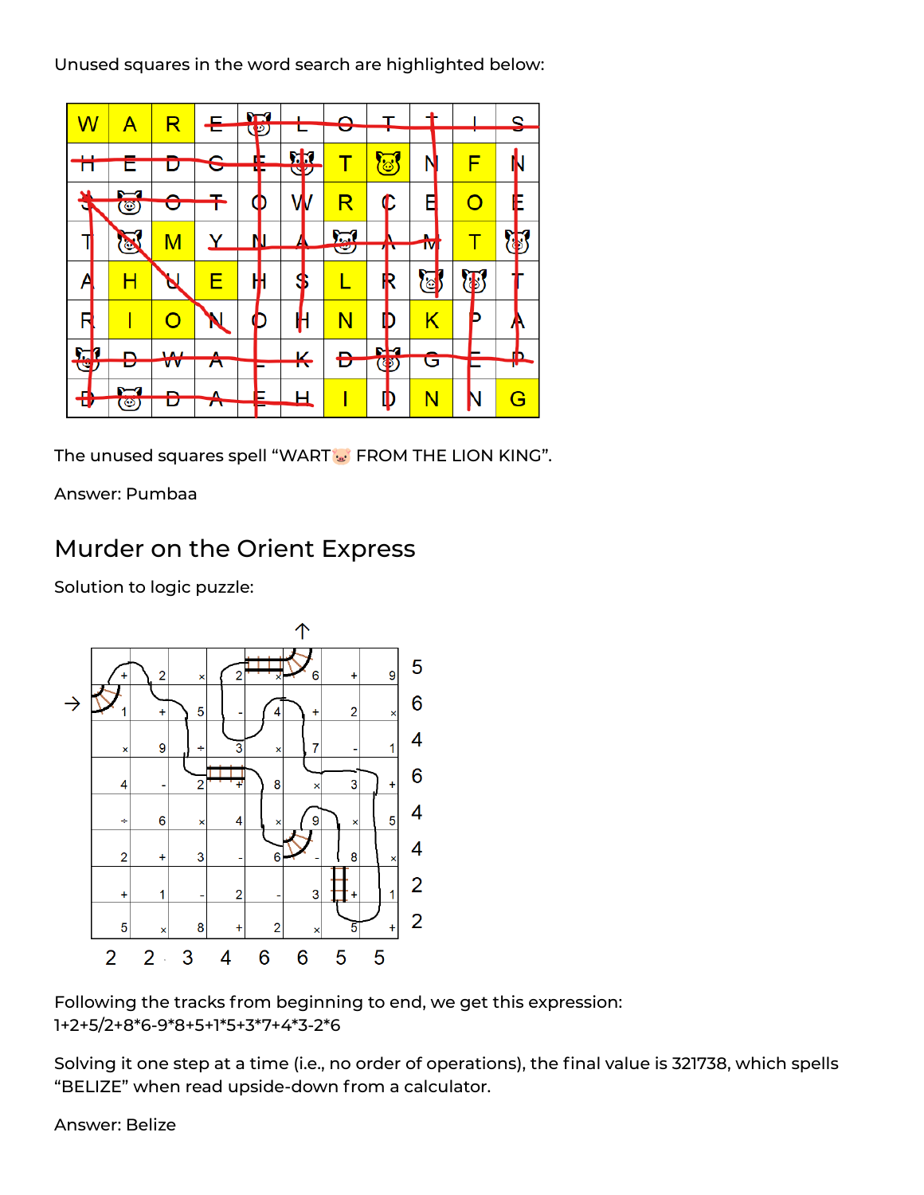Unused squares in the word search are highlighted below:



The unused squares spell "WART : FROM THE LION KING".

Answer: Pumbaa

#### Murder on the Orient Express

Solution to logic puzzle:



Following the tracks from beginning to end, we get this expression: 1+2+5/2+8\*6-9\*8+5+1\*5+3\*7+4\*3-2\*6

Solving it one step at a time (i.e., no order of operations), the final value is 321738, which spells "BELIZE" when read upside-down from a calculator.

Answer: Belize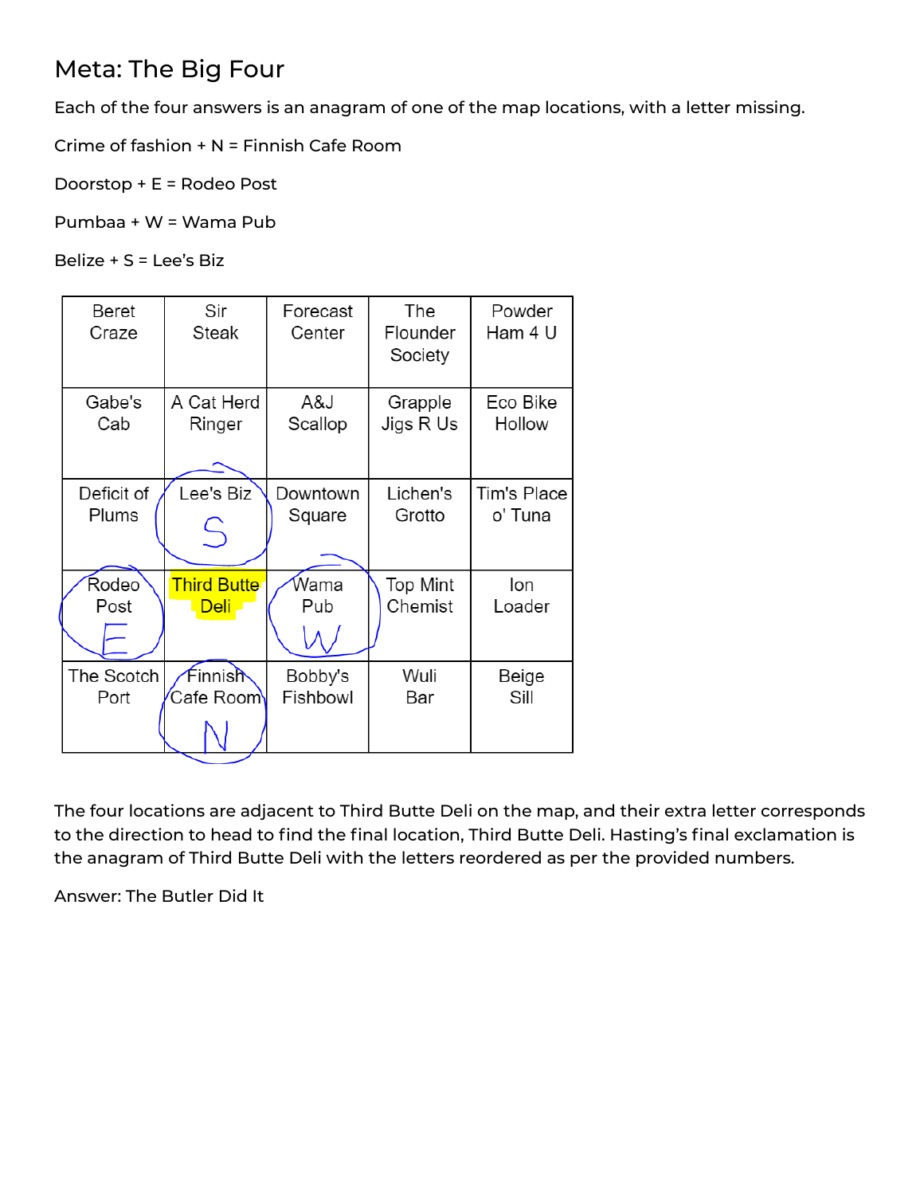# Meta: The Big Four

Each of the four answers is an anagram of one of the map locations, with a letter missing.

Crime of fashion + N = Finnish Cafe Room

Doorstop + E = Rodeo Post

Pumbaa + W = Wama Pub

Belize + S = Lee's Biz

| <b>Beret</b><br>Craze | Sir<br><b>Steak</b> | Forecast<br>Center | The<br>Flounder<br>Society | Powder<br>Ham 4 U |
|-----------------------|---------------------|--------------------|----------------------------|-------------------|
| Gabe's                | A Cat Herd          | A&J                | Grapple                    | Eco Bike          |
| Cab                   | Ringer              | Scallop            | Jigs R Us                  | Hollow            |
| Deficit of            | Lee's Biz           | Downtown           | Lichen's                   | Tim's Place       |
| Plums                 | $\frac{C}{4}$       | Square             | Grotto                     | o' Tuna           |
| Rodeo                 | <b>Third Butte</b>  | Wama               | <b>Top Mint</b>            | lon               |
| Post                  | <u>Deli</u>         | Pub                | Chemist                    | Loader            |
| The Scotch            | Finnish             | Bobby's            | Wuli                       | Beige             |
| Port                  | Cafe Room <b>\</b>  | Fishbowl           | Bar                        | Sill              |

The four locations are adjacent to Third Butte Deli on the map, and their extra letter corresponds to the direction to head to find the final location, Third Butte Deli. Hasting's final exclamation is the anagram of Third Butte Deli with the letters reordered as per the provided numbers.

Answer: The Butler Did It